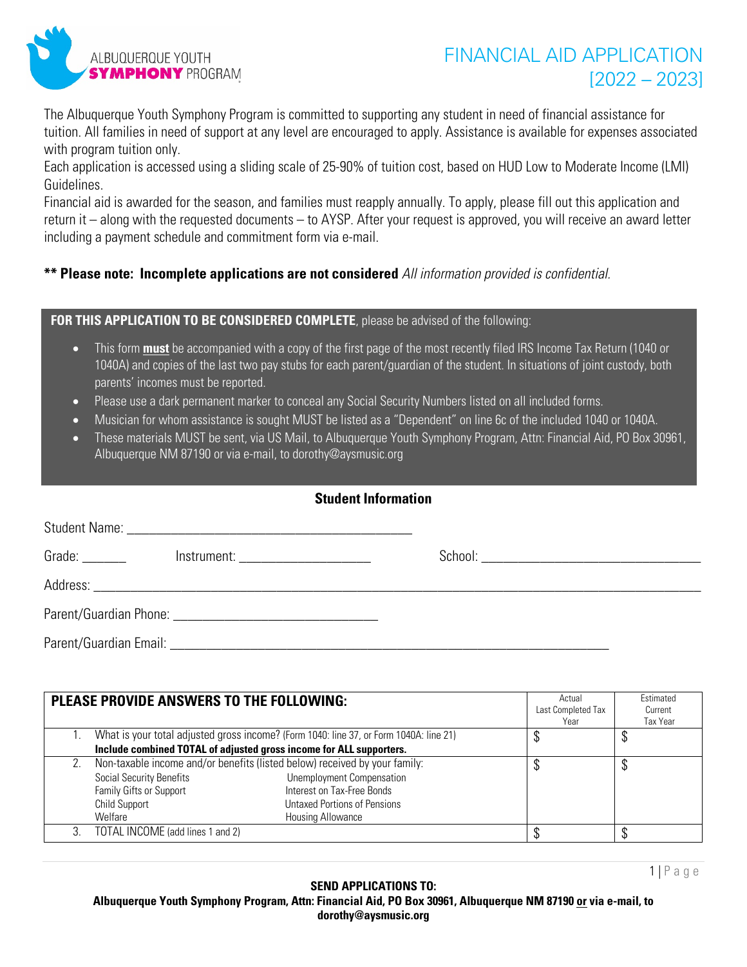

The Albuquerque Youth Symphony Program is committed to supporting any student in need of financial assistance for tuition. All families in need of support at any level are encouraged to apply. Assistance is available for expenses associated with program tuition only.

Each application is accessed using a sliding scale of 25-90% of tuition cost, based on HUD Low to Moderate Income (LMI) Guidelines.

Financial aid is awarded for the season, and families must reapply annually. To apply, please fill out this application and return it – along with the requested documents – to AYSP. After your request is approved, you will receive an award letter including a payment schedule and commitment form via e-mail.

## **\*\* Please note: Incomplete applications are not considered** *All information provided is confidential.*

## **FOR THIS APPLICATION TO BE CONSIDERED COMPLETE**, please be advised of the following:

- This form **must** be accompanied with a copy of the first page of the most recently filed IRS Income Tax Return (1040 or 1040A) and copies of the last two pay stubs for each parent/guardian of the student. In situations of joint custody, both parents' incomes must be reported.
- Please use a dark permanent marker to conceal any Social Security Numbers listed on all included forms.
- Musician for whom assistance is sought MUST be listed as a "Dependent" on line 6c of the included 1040 or 1040A.
- These materials MUST be sent, via US Mail, to Albuquerque Youth Symphony Program, Attn: Financial Aid, PO Box 30961, Albuquerque NM 87190 or via e-mail, to dorothy@aysmusic.org

| <b>Student Information</b> |                                      |  |  |  |  |  |
|----------------------------|--------------------------------------|--|--|--|--|--|
|                            |                                      |  |  |  |  |  |
| Grade: $\_\_$              | Instrument: ________________________ |  |  |  |  |  |
|                            |                                      |  |  |  |  |  |
|                            |                                      |  |  |  |  |  |
|                            |                                      |  |  |  |  |  |

|    | <b>PLEASE PROVIDE ANSWERS TO THE FOLLOWING:</b>                            |                                                                                        | Actual<br>Last Completed Tax<br>Year | Estimated<br>Current<br>Tax Year |
|----|----------------------------------------------------------------------------|----------------------------------------------------------------------------------------|--------------------------------------|----------------------------------|
|    |                                                                            | What is your total adjusted gross income? (Form 1040: line 37, or Form 1040A: line 21) | Φ                                    | Φ                                |
|    | Include combined TOTAL of adjusted gross income for ALL supporters.        |                                                                                        |                                      |                                  |
| 2. | Non-taxable income and/or benefits (listed below) received by your family: |                                                                                        | Φ                                    |                                  |
|    | <b>Social Security Benefits</b>                                            | <b>Unemployment Compensation</b>                                                       |                                      |                                  |
|    | Family Gifts or Support                                                    | Interest on Tax-Free Bonds                                                             |                                      |                                  |
|    | Child Support                                                              | Untaxed Portions of Pensions                                                           |                                      |                                  |
|    | Welfare                                                                    | Housing Allowance                                                                      |                                      |                                  |
|    | TOTAL INCOME (add lines 1 and 2)                                           |                                                                                        | ۰D                                   |                                  |